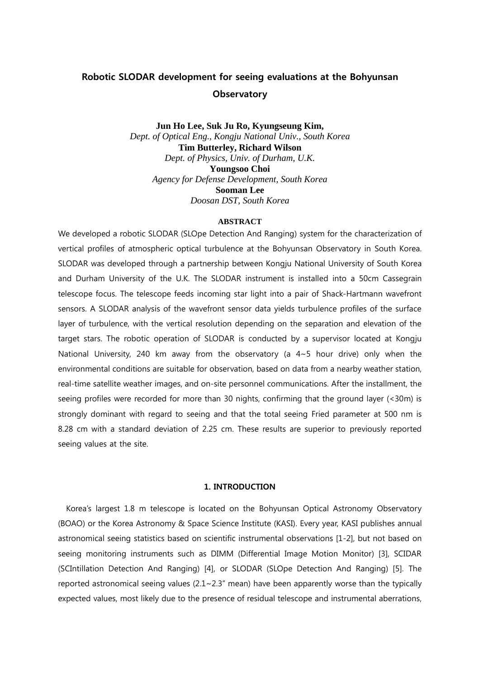# Robotic SLODAR development for seeing evaluations at the Bohyunsan **Observatory**

**Jun Ho Lee, Suk Ju Ro, Kyungseung Kim,** *Dept. of Optical Eng., Kongju National Univ., South Korea* **Tim Butterley, Richard Wilson** *Dept. of Physics, Univ. of Durham, U.K.* **Youngsoo Choi** *Agency for Defense Development, South Korea* **Sooman Lee** *Doosan DST, South Korea*

#### **ABSTRACT**

We developed a robotic SLODAR (SLOpe Detection And Ranging) system for the characterization of vertical profiles of atmospheric optical turbulence at the Bohyunsan Observatory in South Korea. SLODAR was developed through a partnership between Kongju National University of South Korea and Durham University of the U.K. The SLODAR instrument is installed into a 50cm Cassegrain telescope focus. The telescope feeds incoming star light into a pair of Shack-Hartmann wavefront sensors. A SLODAR analysis of the wavefront sensor data yields turbulence profiles of the surface layer of turbulence, with the vertical resolution depending on the separation and elevation of the target stars. The robotic operation of SLODAR is conducted by a supervisor located at Kongju National University, 240 km away from the observatory (a 4~5 hour drive) only when the environmental conditions are suitable for observation, based on data from a nearby weather station, real-time satellite weather images, and on-site personnel communications. After the installment, the seeing profiles were recorded for more than 30 nights, confirming that the ground layer (<30m) is strongly dominant with regard to seeing and that the total seeing Fried parameter at 500 nm is 8.28 cm with a standard deviation of 2.25 cm. These results are superior to previously reported seeing values at the site.

#### 1. INTRODUCTION

Korea's largest 1.8 m telescope is located on the Bohyunsan Optical Astronomy Observatory (BOAO) or the Korea Astronomy & Space Science Institute (KASI). Every year, KASI publishes annual astronomical seeing statistics based on scientific instrumental observations [1-2], but not based on seeing monitoring instruments such as DIMM (Differential Image Motion Monitor) [3], SCIDAR (SCIntillation Detection And Ranging) [4], or SLODAR (SLOpe Detection And Ranging) [5]. The reported astronomical seeing values  $(2.1 \times 2.3)$ " mean) have been apparently worse than the typically expected values, most likely due to the presence of residual telescope and instrumental aberrations,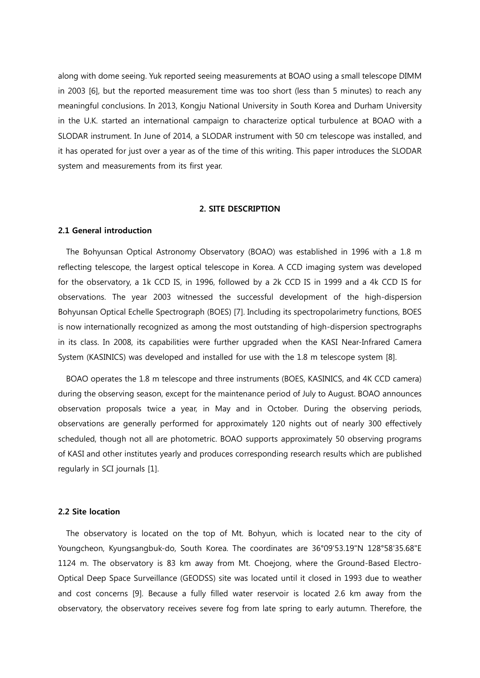along with dome seeing. Yuk reported seeing measurements at BOAO using a small telescope DIMM in 2003 [6], but the reported measurement time was too short (less than 5 minutes) to reach any meaningful conclusions. In 2013, Kongju National University in South Korea and Durham University in the U.K. started an international campaign to characterize optical turbulence at BOAO with a SLODAR instrument. In June of 2014, a SLODAR instrument with 50 cm telescope was installed, and it has operated for just over a year as of the time of this writing. This paper introduces the SLODAR system and measurements from its first year.

#### 2. SITE DESCRIPTION

#### 2.1 General introduction

The Bohyunsan Optical Astronomy Observatory (BOAO) was established in 1996 with a 1.8 m reflecting telescope, the largest optical telescope in Korea. A CCD imaging system was developed for the observatory, a 1k CCD IS, in 1996, followed by a 2k CCD IS in 1999 and a 4k CCD IS for observations. The year 2003 witnessed the successful development of the high-dispersion Bohyunsan Optical Echelle Spectrograph (BOES) [7]. Including its spectropolarimetry functions, BOES is now internationally recognized as among the most outstanding of high-dispersion spectrographs in its class. In 2008, its capabilities were further upgraded when the KASI Near-Infrared Camera System (KASINICS) was developed and installed for use with the 1.8 m telescope system [8].

BOAO operates the 1.8 m telescope and three instruments (BOES, KASINICS, and 4K CCD camera) during the observing season, except for the maintenance period of July to August. BOAO announces observation proposals twice a year, in May and in October. During the observing periods, observations are generally performed for approximately 120 nights out of nearly 300 effectively scheduled, though not all are photometric. BOAO supports approximately 50 observing programs of KASI and other institutes yearly and produces corresponding research results which are published regularly in SCI journals [1].

#### 2.2 Site location

The observatory is located on the top of Mt. Bohyun, which is located near to the city of Youngcheon, Kyungsangbuk-do, South Korea. The coordinates are 36°09'53.19"N 128°58'35.68"E 1124 m. The observatory is 83 km away from Mt. Choejong, where the Ground-Based Electro-Optical Deep Space Surveillance (GEODSS) site was located until it closed in 1993 due to weather and cost concerns [9]. Because a fully filled water reservoir is located 2.6 km away from the observatory, the observatory receives severe fog from late spring to early autumn. Therefore, the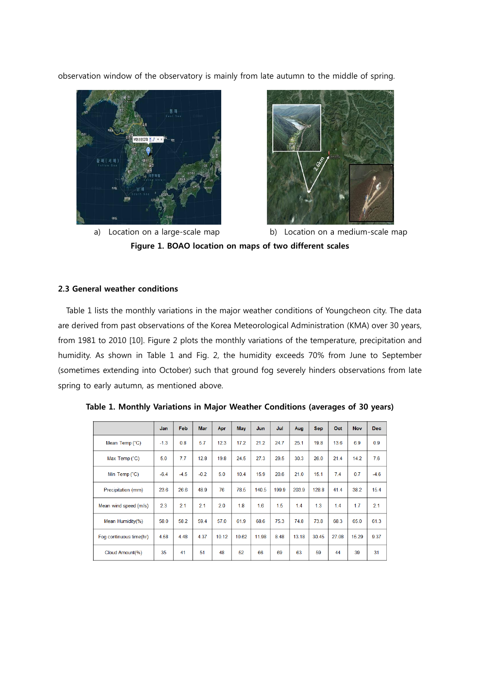observation window of the observatory is mainly from late autumn to the middle of spring.





a) Location on a large-scale map b) Location on a medium-scale map Figure 1. BOAO location on maps of two different scales

## 2.3 General weather conditions

Table 1 lists the monthly variations in the major weather conditions of Youngcheon city. The data are derived from past observations of the Korea Meteorological Administration (KMA) over 30 years, from 1981 to 2010 [10]. Figure 2 plots the monthly variations of the temperature, precipitation and humidity. As shown in Table 1 and Fig. 2, the humidity exceeds 70% from June to September (sometimes extending into October) such that ground fog severely hinders observations from late spring to early autumn, as mentioned above.

|                         | <b>Jan</b> | Feb    | <b>Mar</b> | Apr   | <b>May</b> | Jun   | Jul   | Aug   | <b>Sep</b> | Oct   | <b>Nov</b> | Dec.   |
|-------------------------|------------|--------|------------|-------|------------|-------|-------|-------|------------|-------|------------|--------|
| Mean Temp (°C)          | $-1.3$     | 0.8    | 5.7        | 12.3  | 17.2       | 21.2  | 24.7  | 25.1  | 19.8       | 13.6  | 6.9        | 0.9    |
| Max Temp (°C)           | 5.0        | 7.7    | 12.8       | 19.8  | 24.5       | 27.3  | 29.5  | 30.3  | 26.0       | 21.4  | 14.2       | 7.6    |
| Min Temp (°C)           | $-6.4$     | $-4.5$ | $-0.2$     | 5.0   | 10.4       | 15.9  | 20.6  | 21.0  | 15.1       | 7.4   | 0.7        | $-4.6$ |
| Precipitation (mm)      | 23.6       | 26.6   | 48.9       | 76    | 78.5       | 140.5 | 199.9 | 203.9 | 128.8      | 41.4  | 38.2       | 15.4   |
| Mean wind speed (m/s)   | 2.3        | 2.1    | 2.1        | 2.0   | 1.8        | 1.6   | 1.5   | 1.4   | 1.3        | 1.4   | 1.7        | 2.1    |
| Mean Humidity(%)        | 58.0       | 58.2   | 59.4       | 57.0  | 61.9       | 68.6  | 75.3  | 74.8  | 73.8       | 68.3  | 65.0       | 61.3   |
| Fog continuous time(hr) | 4.58       | 4.48   | 4.37       | 10.12 | 10.62      | 11.98 | 8.48  | 13.18 | 30.45      | 27.08 | 15.29      | 9.37   |
| Cloud Amount(%)         | 35         | 41     | 51         | 48    | 52         | 66    | 69    | 63    | 59         | 44    | 39         | 31     |

Table 1. Monthly Variations in Major Weather Conditions (averages of 30 years)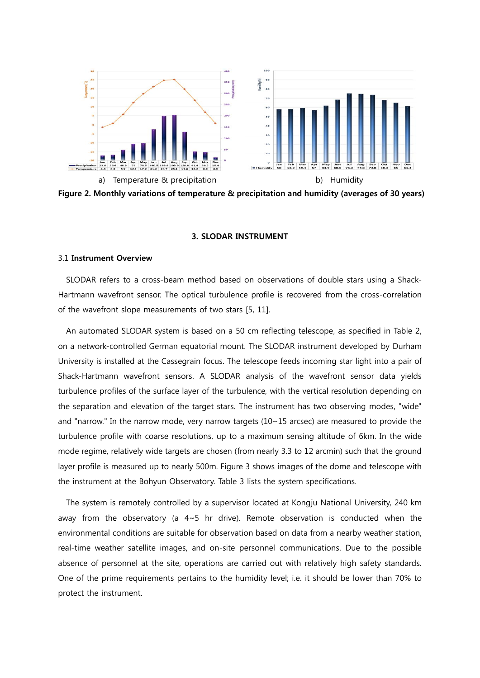

Figure 2. Monthly variations of temperature & precipitation and humidity (averages of 30 years)

#### 3. SLODAR INSTRUMENT

#### 3.1 Instrument Overview

SLODAR refers to a cross-beam method based on observations of double stars using a Shack-Hartmann wavefront sensor. The optical turbulence profile is recovered from the cross-correlation of the wavefront slope measurements of two stars [5, 11].

An automated SLODAR system is based on a 50 cm reflecting telescope, as specified in Table 2, on a network-controlled German equatorial mount. The SLODAR instrument developed by Durham University is installed at the Cassegrain focus. The telescope feeds incoming star light into a pair of Shack-Hartmann wavefront sensors. A SLODAR analysis of the wavefront sensor data yields turbulence profiles of the surface layer of the turbulence, with the vertical resolution depending on the separation and elevation of the target stars. The instrument has two observing modes, "wide" and "narrow." In the narrow mode, very narrow targets (10~15 arcsec) are measured to provide the turbulence profile with coarse resolutions, up to a maximum sensing altitude of 6km. In the wide mode regime, relatively wide targets are chosen (from nearly 3.3 to 12 arcmin) such that the ground layer profile is measured up to nearly 500m. Figure 3 shows images of the dome and telescope with the instrument at the Bohyun Observatory. Table 3 lists the system specifications.

The system is remotely controlled by a supervisor located at Kongju National University, 240 km away from the observatory (a 4~5 hr drive). Remote observation is conducted when the environmental conditions are suitable for observation based on data from a nearby weather station, real-time weather satellite images, and on-site personnel communications. Due to the possible absence of personnel at the site, operations are carried out with relatively high safety standards. One of the prime requirements pertains to the humidity level; i.e. it should be lower than 70% to protect the instrument.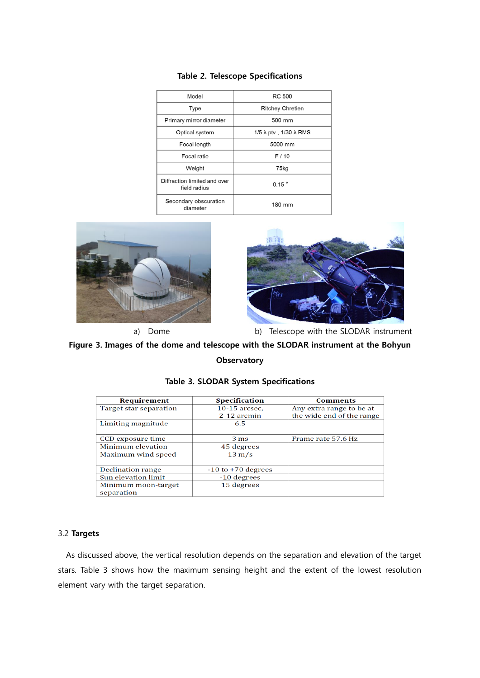| Model                                        | <b>RC 500</b>                         |  |  |  |
|----------------------------------------------|---------------------------------------|--|--|--|
| <b>Type</b>                                  | <b>Ritchey Chretien</b>               |  |  |  |
| Primary mirror diameter                      | 500 mm                                |  |  |  |
| Optical system                               | 1/5 $\lambda$ ptv, 1/30 $\lambda$ RMS |  |  |  |
| Focal length                                 | 5000 mm                               |  |  |  |
| Focal ratio                                  | F/10                                  |  |  |  |
| Weight                                       | 75kg                                  |  |  |  |
| Diffraction limited and over<br>field radius | $0.15$ $^{\circ}$                     |  |  |  |
| Secondary obscuration<br>diameter            | 180 mm                                |  |  |  |

## Table 2. Telescope Specifications





a) Dome b) Telescope with the SLODAR instrument

## Figure 3. Images of the dome and telescope with the SLODAR instrument at the Bohyun **Observatory**

| Requirement            | <b>Specification</b>   | <b>Comments</b>           |  |  |
|------------------------|------------------------|---------------------------|--|--|
| Target star separation | $10-15$ arcsec.        | Any extra range to be at  |  |  |
|                        | $2-12$ arcmin          | the wide end of the range |  |  |
| Limiting magnitude     | 6.5                    |                           |  |  |
|                        |                        |                           |  |  |
| CCD exposure time      | 3 <sub>ms</sub>        | Frame rate 57.6 Hz        |  |  |
| Minimum elevation      | 45 degrees             |                           |  |  |
| Maximum wind speed     | $13 \text{ m/s}$       |                           |  |  |
|                        |                        |                           |  |  |
| Declination range      | $-10$ to $+70$ degrees |                           |  |  |
| Sun elevation limit    | -10 degrees            |                           |  |  |
| Minimum moon-target    | 15 degrees             |                           |  |  |
| separation             |                        |                           |  |  |

### Table 3. SLODAR System Specifications

## 3.2 Targets

As discussed above, the vertical resolution depends on the separation and elevation of the target stars. Table 3 shows how the maximum sensing height and the extent of the lowest resolution element vary with the target separation.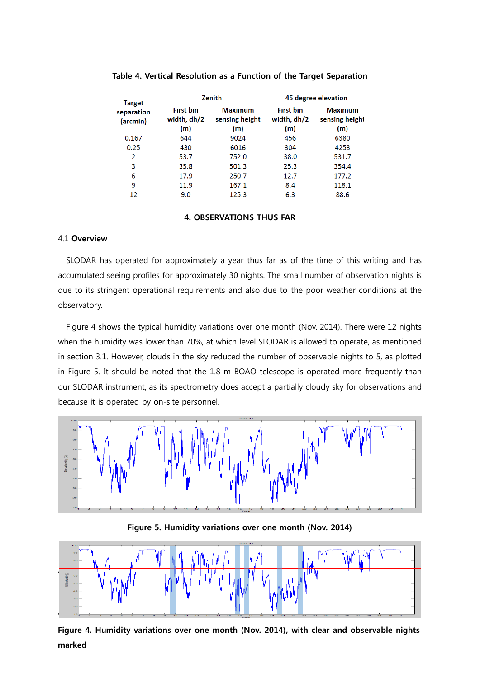| <b>Target</b><br>separation<br>(arcmin) |                                        | <b>Zenith</b>                           | 45 degree elevation                    |                                         |  |  |
|-----------------------------------------|----------------------------------------|-----------------------------------------|----------------------------------------|-----------------------------------------|--|--|
|                                         | <b>First bin</b><br>width, dh/2<br>(m) | <b>Maximum</b><br>sensing height<br>(m) | <b>First bin</b><br>width, dh/2<br>(m) | <b>Maximum</b><br>sensing height<br>(m) |  |  |
| 0.167                                   | 644                                    | 9024                                    | 456                                    | 6380                                    |  |  |
| 0.25                                    | 430                                    | 6016                                    | 304                                    | 4253                                    |  |  |
| $\overline{2}$                          | 53.7                                   | 752.0                                   | 38.0                                   | 531.7                                   |  |  |
| 3                                       | 35.8                                   | 501.3                                   | 25.3                                   | 354.4                                   |  |  |
| 6                                       | 17.9                                   | 250.7                                   | 12.7                                   | 177.2                                   |  |  |
| 9                                       | 11.9                                   | 167.1                                   | 8.4                                    | 118.1                                   |  |  |
| 12                                      | 9.0                                    | 125.3                                   | 6.3                                    | 88.6                                    |  |  |

## Table 4. Vertical Resolution as a Function of the Target Separation

## 4. OBSERVATIONS THUS FAR

### 4.1 Overview

SLODAR has operated for approximately a year thus far as of the time of this writing and has accumulated seeing profiles for approximately 30 nights. The small number of observation nights is due to its stringent operational requirements and also due to the poor weather conditions at the observatory.

Figure 4 shows the typical humidity variations over one month (Nov. 2014). There were 12 nights when the humidity was lower than 70%, at which level SLODAR is allowed to operate, as mentioned in section 3.1. However, clouds in the sky reduced the number of observable nights to 5, as plotted in Figure 5. It should be noted that the 1.8 m BOAO telescope is operated more frequently than our SLODAR instrument, as its spectrometry does accept a partially cloudy sky for observations and because it is operated by on-site personnel.



Figure 5. Humidity variations over one month (Nov. 2014)



Figure 4. Humidity variations over one month (Nov. 2014), with clear and observable nights marked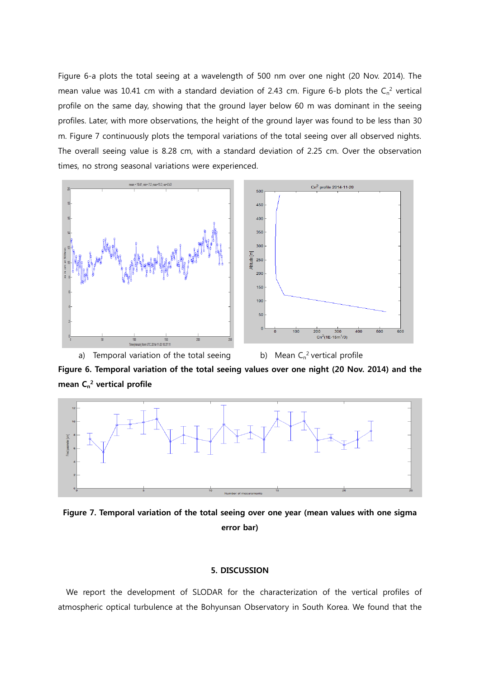Figure 6-a plots the total seeing at a wavelength of 500 nm over one night (20 Nov. 2014). The mean value was 10.41 cm with a standard deviation of 2.43 cm. Figure 6-b plots the  $C_n^2$  vertical profile on the same day, showing that the ground layer below 60 m was dominant in the seeing profiles. Later, with more observations, the height of the ground layer was found to be less than 30 m. Figure 7 continuously plots the temporal variations of the total seeing over all observed nights. The overall seeing value is 8.28 cm, with a standard deviation of 2.25 cm. Over the observation times, no strong seasonal variations were experienced.



Figure 6. Temporal variation of the total seeing values over one night (20 Nov. 2014) and the mean  $C_n^2$  vertical profile



Figure 7. Temporal variation of the total seeing over one year (mean values with one sigma error bar)

### 5. DISCUSSION

We report the development of SLODAR for the characterization of the vertical profiles of atmospheric optical turbulence at the Bohyunsan Observatory in South Korea. We found that the